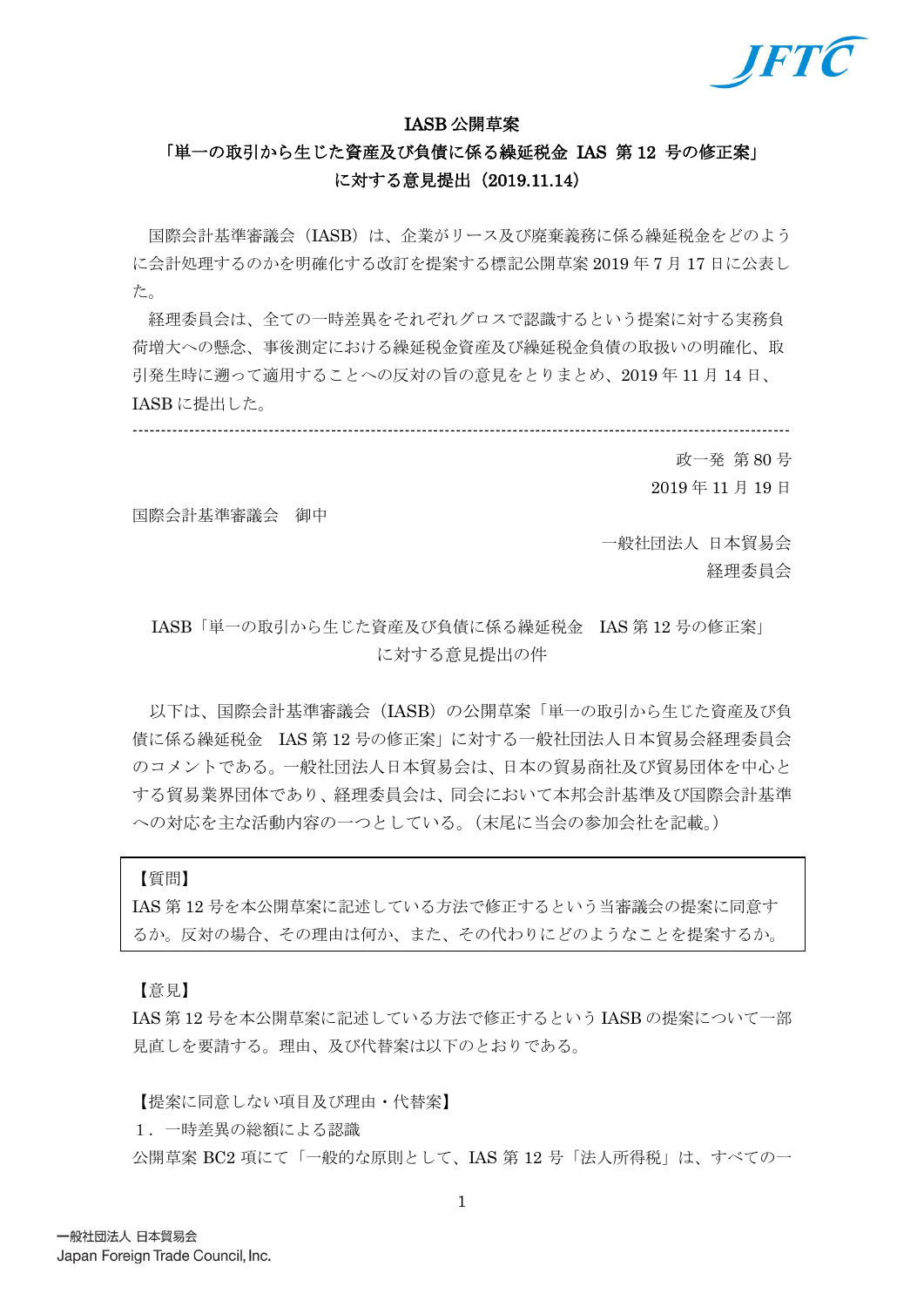

#### IASB 公開草案

# 「単一の取引から生じた資産及び負債に係る繰延税金 IAS 第 12 号の修正案」 に対する意見提出(2019.11.14)

国際会計基準審議会(IASB)は、企業がリース及び廃棄義務に係る繰延税金をどのよう に会計処理するのかを明確化する改訂を提案する標記公開草案 2019 年 7 月 17 日に公表し た。

経理委員会は、全ての一時差異をそれぞれグロスで認識するという提案に対する実務負 荷増大への懸念、事後測定における繰延税金資産及び繰延税金負債の取扱いの明確化、取 引発生時に遡って適用することへの反対の旨の意見をとりまとめ、2019 年 11 月 14 日、 IASB に提出した。

-------------------------------------------------------------------------------------------------------------------- 政一発 第 80 号

2019 年 11 月 19 日

国際会計基準審議会 御中

一般社団法人 日本貿易会 経理委員会

# IASB「単一の取引から生じた資産及び負債に係る繰延税金 IAS 第 12 号の修正案」 に対する意見提出の件

以下は、国際会計基準審議会(IASB)の公開草案「単一の取引から生じた資産及び負 債に係る繰延税金 IAS 第 12 号の修正案」に対する一般社団法人日本貿易会経理委員会 のコメントである。一般社団法人日本貿易会は、日本の貿易商社及び貿易団体を中心と する貿易業界団体であり、経理委員会は、同会において本邦会計基準及び国際会計基準 への対応を主な活動内容の一つとしている。(末尾に当会の参加会社を記載。)

【質問】

IAS 第 12 号を本公開草案に記述している方法で修正するという当審議会の提案に同意す るか。反対の場合、その理由は何か、また、その代わりにどのようなことを提案するか。

【意見】

IAS 第 12 号を本公開草案に記述している方法で修正するという IASB の提案について一部 見直しを要請する。理由、及び代替案は以下のとおりである。

【提案に同意しない項目及び理由・代替案】

1.一時差異の総額による認識

公開草案 BC2 項にて「一般的な原則として、IAS 第 12 号「法人所得税」は、すべての一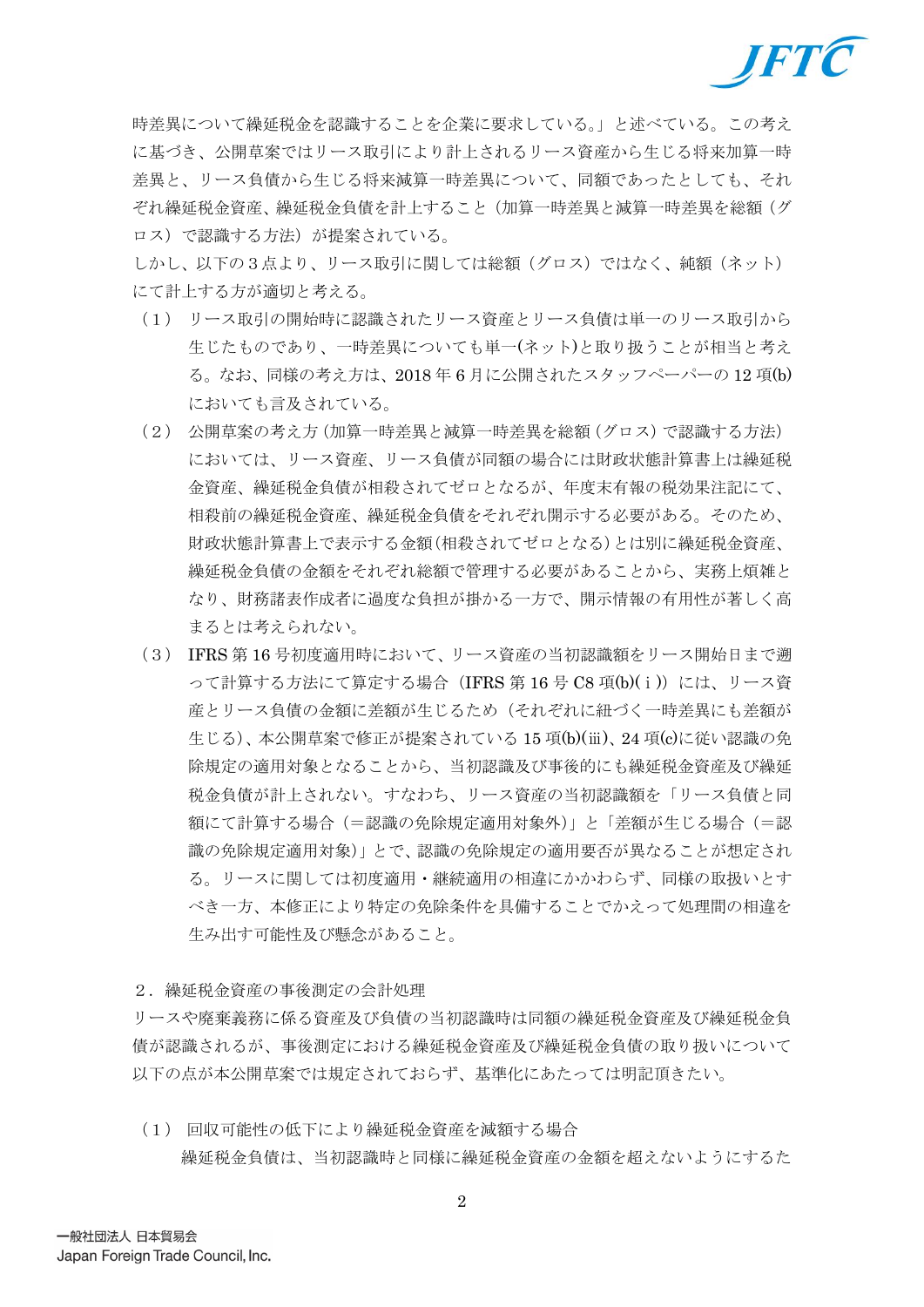

時差異について繰延税金を認識することを企業に要求している。」と述べている。この考え に基づき、公開草案ではリース取引により計上されるリース資産から生じる将来加算一時 差異と、リース負債から生じる将来減算一時差異について、同額であったとしても、それ ぞれ繰延税金資産、繰延税金負債を計上すること(加算一時差異と減算一時差異を総額(グ ロス)で認識する方法)が提案されている。

しかし、以下の3点より、リース取引に関しては総額(グロス)ではなく、純額(ネット) にて計上する方が適切と考える。

- (1) リース取引の開始時に認識されたリース資産とリース負債は単一のリース取引から 生じたものであり、一時差異についても単一(ネット)と取り扱うことが相当と考え る。なお、同様の考え方は、2018 年 6 月に公開されたスタッフペーパーの 12 項(b) においても言及されている。
- (2) 公開草案の考え方(加算一時差異と減算一時差異を総額(グロス)で認識する方法) においては、リース資産、リース負債が同額の場合には財政状態計算書上は繰延税 金資産、繰延税金負債が相殺されてゼロとなるが、年度末有報の税効果注記にて、 相殺前の繰延税金資産、繰延税金負債をそれぞれ開示する必要がある。そのため、 財政状態計算書上で表示する金額(相殺されてゼロとなる)とは別に繰延税金資産、 繰延税金負債の金額をそれぞれ総額で管理する必要があることから、実務上煩雑と なり、財務諸表作成者に過度な負担が掛かる一方で、開示情報の有用性が著しく高 まるとは考えられない。
- (3) IFRS 第 16 号初度適用時において、リース資産の当初認識額をリース開始日まで遡 って計算する方法にて算定する場合(IFRS 第 16 号 C8 項(b)(i))には、リース資 産とリース負債の金額に差額が生じるため(それぞれに紐づく一時差異にも差額が 生じる)、本公開草案で修正が提案されている 15 項(b)(ⅲ)、24 項(c)に従い認識の免 除規定の適用対象となることから、当初認識及び事後的にも繰延税金資産及び繰延 税金負債が計上されない。すなわち、リース資産の当初認識額を「リース負債と同 額にて計算する場合(=認識の免除規定適用対象外)」と「差額が生じる場合(=認 識の免除規定適用対象)」とで、認識の免除規定の適用要否が異なることが想定され る。リースに関しては初度適用・継続適用の相違にかかわらず、同様の取扱いとす べき一方、本修正により特定の免除条件を具備することでかえって処理間の相違を 生み出す可能性及び懸念があること。
- 2.繰延税金資産の事後測定の会計処理

リースや廃棄義務に係る資産及び負債の当初認識時は同額の繰延税金資産及び繰延税金負 債が認識されるが、事後測定における繰延税金資産及び繰延税金負債の取り扱いについて 以下の点が本公開草案では規定されておらず、基準化にあたっては明記頂きたい。

(1) 回収可能性の低下により繰延税金資産を減額する場合 繰延税金負債は、当初認識時と同様に繰延税金資産の金額を超えないようにするた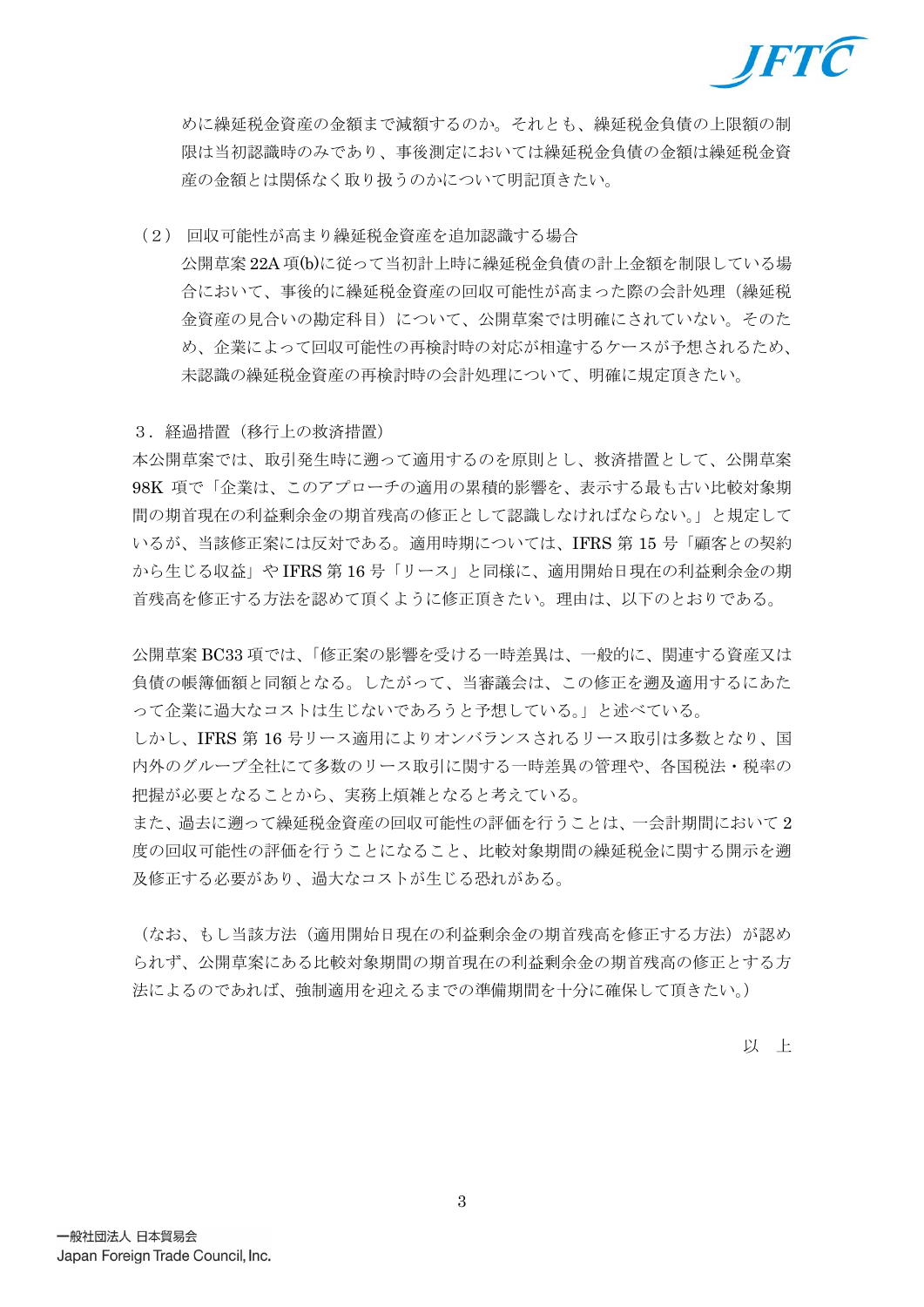

めに繰延税金資産の金額まで減額するのか。それとも、繰延税金負債の上限額の制 限は当初認識時のみであり、事後測定においては繰延税金負債の金額は繰延税金資 産の金額とは関係なく取り扱うのかについて明記頂きたい。

(2) 回収可能性が高まり繰延税金資産を追加認識する場合 公開草案 22A 項(b)に従って当初計上時に繰延税金負債の計上金額を制限している場 合において、事後的に繰延税金資産の回収可能性が高まった際の会計処理(繰延税 金資産の見合いの勘定科目)について、公開草案では明確にされていない。そのた め、企業によって回収可能性の再検討時の対応が相違するケースが予想されるため、 未認識の繰延税金資産の再検討時の会計処理について、明確に規定頂きたい。

3.経過措置(移行上の救済措置)

本公開草案では、取引発生時に遡って適用するのを原則とし、救済措置として、公開草案 98K 項で「企業は、このアプローチの適用の累積的影響を、表示する最も古い比較対象期 間の期首現在の利益剰余金の期首残高の修正として認識しなければならない。」と規定して いるが、当該修正案には反対である。適用時期については、IFRS 第 15 号「顧客との契約 から生じる収益」や IFRS 第 16 号「リース」と同様に、適用開始日現在の利益剰余金の期 首残高を修正する方法を認めて頂くように修正頂きたい。理由は、以下のとおりである。

公開草案 BC33 項では、「修正案の影響を受ける一時差異は、一般的に、関連する資産又は 負債の帳簿価額と同額となる。したがって、当審議会は、この修正を遡及適用するにあた って企業に過大なコストは生じないであろうと予想している。」と述べている。

しかし、IFRS 第 16 号リース適用によりオンバランスされるリース取引は多数となり、国 内外のグループ全社にて多数のリース取引に関する一時差異の管理や、各国税法・税率の 把握が必要となることから、実務上煩雑となると考えている。

また、過去に遡って繰延税金資産の回収可能性の評価を行うことは、一会計期間において 2 度の回収可能性の評価を行うことになること、比較対象期間の繰延税金に関する開示を遡 及修正する必要があり、過大なコストが生じる恐れがある。

(なお、もし当該方法(適用開始日現在の利益剰余金の期首残高を修正する方法)が認め られず、公開草案にある比較対象期間の期首現在の利益剰余金の期首残高の修正とする方 法によるのであれば、強制適用を迎えるまでの準備期間を十分に確保して頂きたい。)

以 上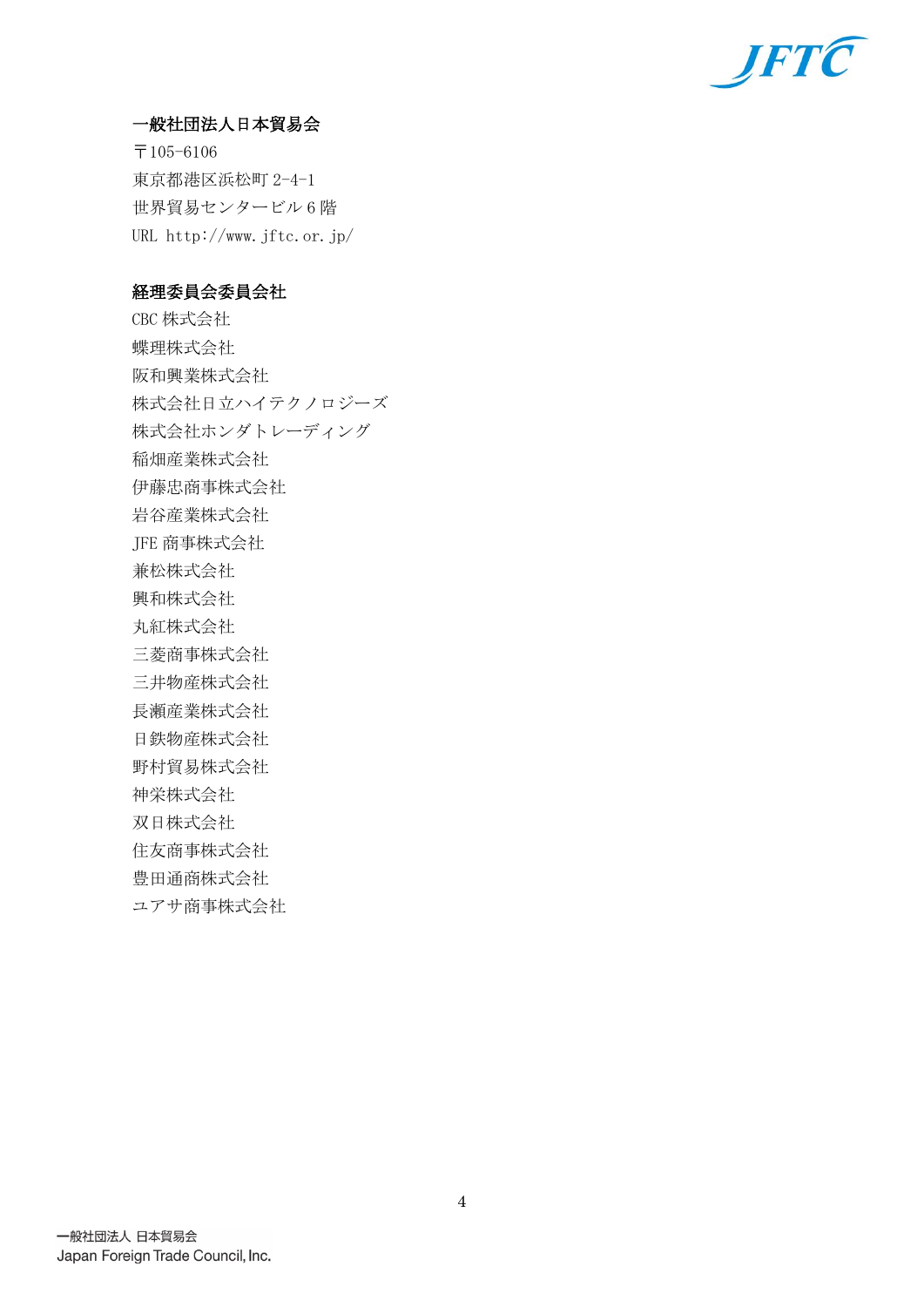

## 一般社団法人日本貿易会

〒105-6106 東京都港区浜松町 2-4-1 世界貿易センタービル 6 階 URL http://www.jftc.or.jp/

## 経理委員会委員会社

CBC 株式会社 蝶理株式会社 阪和興業株式会社 株式会社日立ハイテクノロジーズ 株式会社ホンダトレーディング 稲畑産業株式会社 伊藤忠商事株式会社 岩谷産業株式会社 JFE 商事株式会社 兼松株式会社 興和株式会社 丸紅株式会社 三菱商事株式会社 三井物産株式会社 長瀬産業株式会社 日鉄物産株式会社 野村貿易株式会社 神栄株式会社 双日株式会社 住友商事株式会社 豊田通商株式会社 ユアサ商事株式会社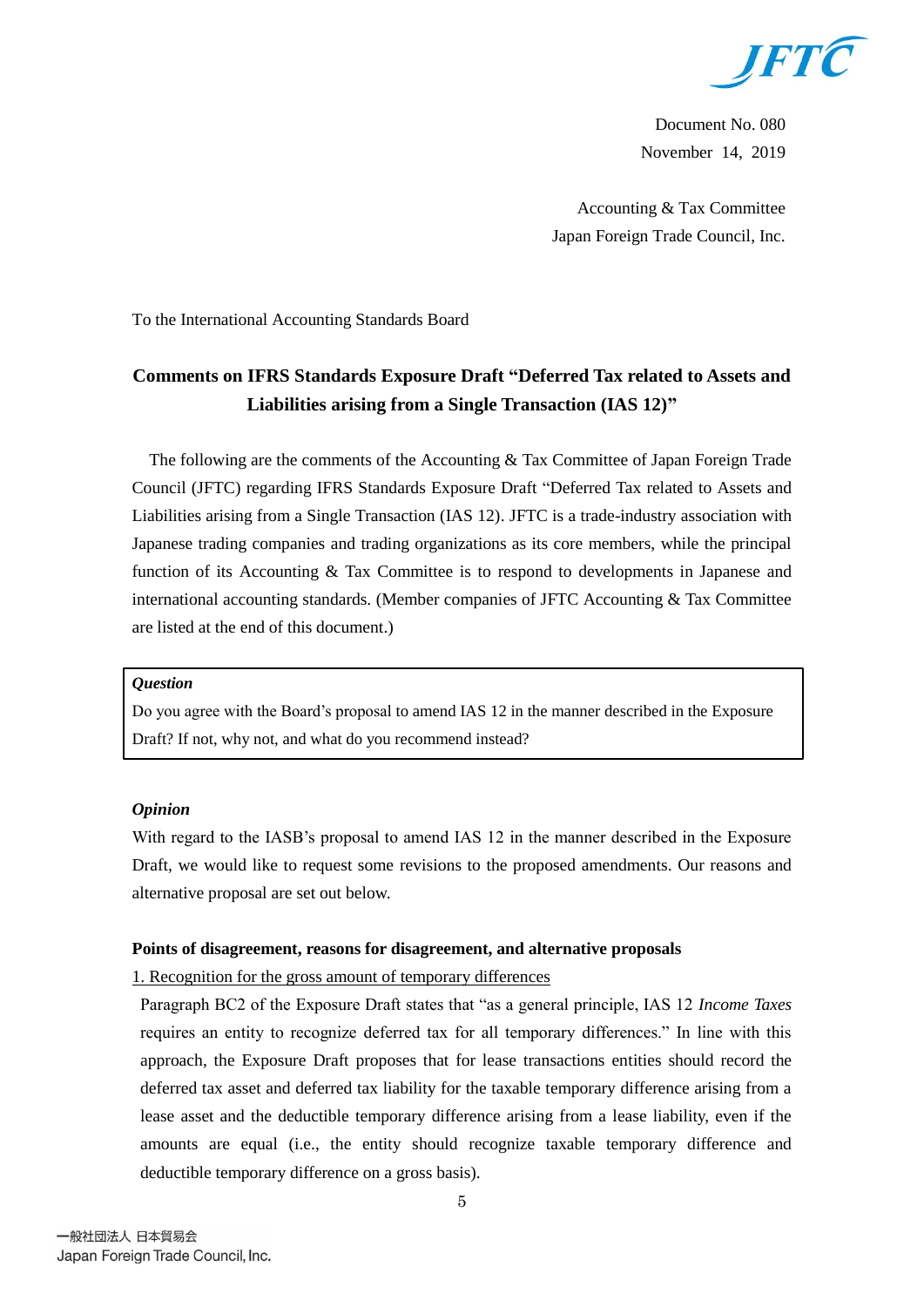

Document No. 080 November 14, 2019

Accounting & Tax Committee Japan Foreign Trade Council, Inc.

To the International Accounting Standards Board

# **Comments on IFRS Standards Exposure Draft "Deferred Tax related to Assets and Liabilities arising from a Single Transaction (IAS 12)"**

The following are the comments of the Accounting & Tax Committee of Japan Foreign Trade Council (JFTC) regarding IFRS Standards Exposure Draft "Deferred Tax related to Assets and Liabilities arising from a Single Transaction (IAS 12). JFTC is a trade-industry association with Japanese trading companies and trading organizations as its core members, while the principal function of its Accounting & Tax Committee is to respond to developments in Japanese and international accounting standards. (Member companies of JFTC Accounting & Tax Committee are listed at the end of this document.)

#### *Question*

Do you agree with the Board's proposal to amend IAS 12 in the manner described in the Exposure Draft? If not, why not, and what do you recommend instead?

### *Opinion*

With regard to the IASB's proposal to amend IAS 12 in the manner described in the Exposure Draft, we would like to request some revisions to the proposed amendments. Our reasons and alternative proposal are set out below.

### **Points of disagreement, reasons for disagreement, and alternative proposals**

1. Recognition for the gross amount of temporary differences

Paragraph BC2 of the Exposure Draft states that "as a general principle, IAS 12 *Income Taxes* requires an entity to recognize deferred tax for all temporary differences." In line with this approach, the Exposure Draft proposes that for lease transactions entities should record the deferred tax asset and deferred tax liability for the taxable temporary difference arising from a lease asset and the deductible temporary difference arising from a lease liability, even if the amounts are equal (i.e., the entity should recognize taxable temporary difference and deductible temporary difference on a gross basis).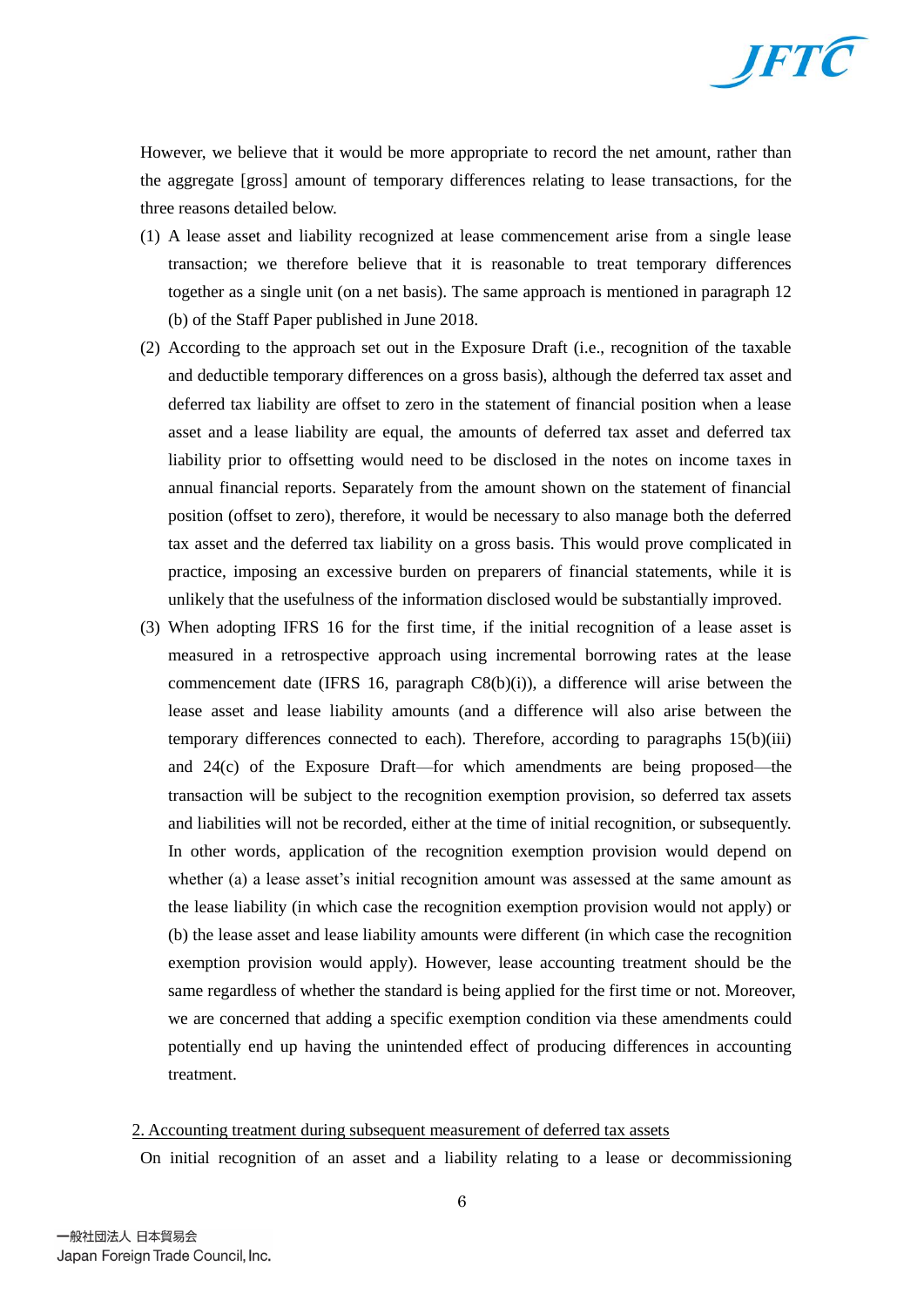

However, we believe that it would be more appropriate to record the net amount, rather than the aggregate [gross] amount of temporary differences relating to lease transactions, for the three reasons detailed below.

- (1) A lease asset and liability recognized at lease commencement arise from a single lease transaction; we therefore believe that it is reasonable to treat temporary differences together as a single unit (on a net basis). The same approach is mentioned in paragraph 12 (b) of the Staff Paper published in June 2018.
- (2) According to the approach set out in the Exposure Draft (i.e., recognition of the taxable and deductible temporary differences on a gross basis), although the deferred tax asset and deferred tax liability are offset to zero in the statement of financial position when a lease asset and a lease liability are equal, the amounts of deferred tax asset and deferred tax liability prior to offsetting would need to be disclosed in the notes on income taxes in annual financial reports. Separately from the amount shown on the statement of financial position (offset to zero), therefore, it would be necessary to also manage both the deferred tax asset and the deferred tax liability on a gross basis. This would prove complicated in practice, imposing an excessive burden on preparers of financial statements, while it is unlikely that the usefulness of the information disclosed would be substantially improved.
- (3) When adopting IFRS 16 for the first time, if the initial recognition of a lease asset is measured in a retrospective approach using incremental borrowing rates at the lease commencement date (IFRS 16, paragraph  $C8(b)(i)$ ), a difference will arise between the lease asset and lease liability amounts (and a difference will also arise between the temporary differences connected to each). Therefore, according to paragraphs 15(b)(iii) and 24(c) of the Exposure Draft—for which amendments are being proposed—the transaction will be subject to the recognition exemption provision, so deferred tax assets and liabilities will not be recorded, either at the time of initial recognition, or subsequently. In other words, application of the recognition exemption provision would depend on whether (a) a lease asset's initial recognition amount was assessed at the same amount as the lease liability (in which case the recognition exemption provision would not apply) or (b) the lease asset and lease liability amounts were different (in which case the recognition exemption provision would apply). However, lease accounting treatment should be the same regardless of whether the standard is being applied for the first time or not. Moreover, we are concerned that adding a specific exemption condition via these amendments could potentially end up having the unintended effect of producing differences in accounting treatment.

### 2. Accounting treatment during subsequent measurement of deferred tax assets

On initial recognition of an asset and a liability relating to a lease or decommissioning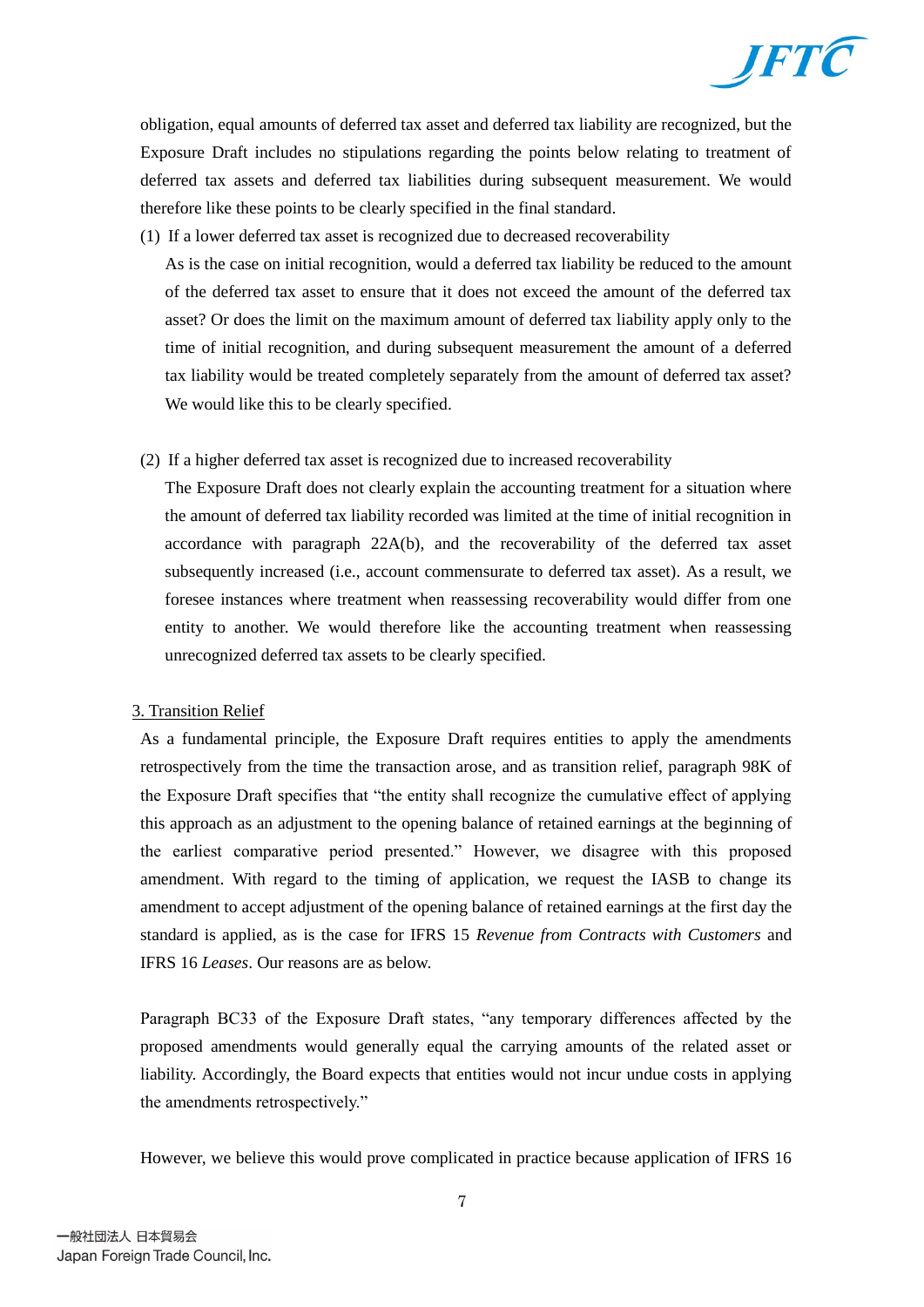

obligation, equal amounts of deferred tax asset and deferred tax liability are recognized, but the Exposure Draft includes no stipulations regarding the points below relating to treatment of deferred tax assets and deferred tax liabilities during subsequent measurement. We would therefore like these points to be clearly specified in the final standard.

(1) If a lower deferred tax asset is recognized due to decreased recoverability

As is the case on initial recognition, would a deferred tax liability be reduced to the amount of the deferred tax asset to ensure that it does not exceed the amount of the deferred tax asset? Or does the limit on the maximum amount of deferred tax liability apply only to the time of initial recognition, and during subsequent measurement the amount of a deferred tax liability would be treated completely separately from the amount of deferred tax asset? We would like this to be clearly specified.

(2) If a higher deferred tax asset is recognized due to increased recoverability

The Exposure Draft does not clearly explain the accounting treatment for a situation where the amount of deferred tax liability recorded was limited at the time of initial recognition in accordance with paragraph 22A(b), and the recoverability of the deferred tax asset subsequently increased (i.e., account commensurate to deferred tax asset). As a result, we foresee instances where treatment when reassessing recoverability would differ from one entity to another. We would therefore like the accounting treatment when reassessing unrecognized deferred tax assets to be clearly specified.

## 3. Transition Relief

As a fundamental principle, the Exposure Draft requires entities to apply the amendments retrospectively from the time the transaction arose, and as transition relief, paragraph 98K of the Exposure Draft specifies that "the entity shall recognize the cumulative effect of applying this approach as an adjustment to the opening balance of retained earnings at the beginning of the earliest comparative period presented." However, we disagree with this proposed amendment. With regard to the timing of application, we request the IASB to change its amendment to accept adjustment of the opening balance of retained earnings at the first day the standard is applied, as is the case for IFRS 15 *Revenue from Contracts with Customers* and IFRS 16 *Leases*. Our reasons are as below.

Paragraph BC33 of the Exposure Draft states, "any temporary differences affected by the proposed amendments would generally equal the carrying amounts of the related asset or liability. Accordingly, the Board expects that entities would not incur undue costs in applying the amendments retrospectively."

However, we believe this would prove complicated in practice because application of IFRS 16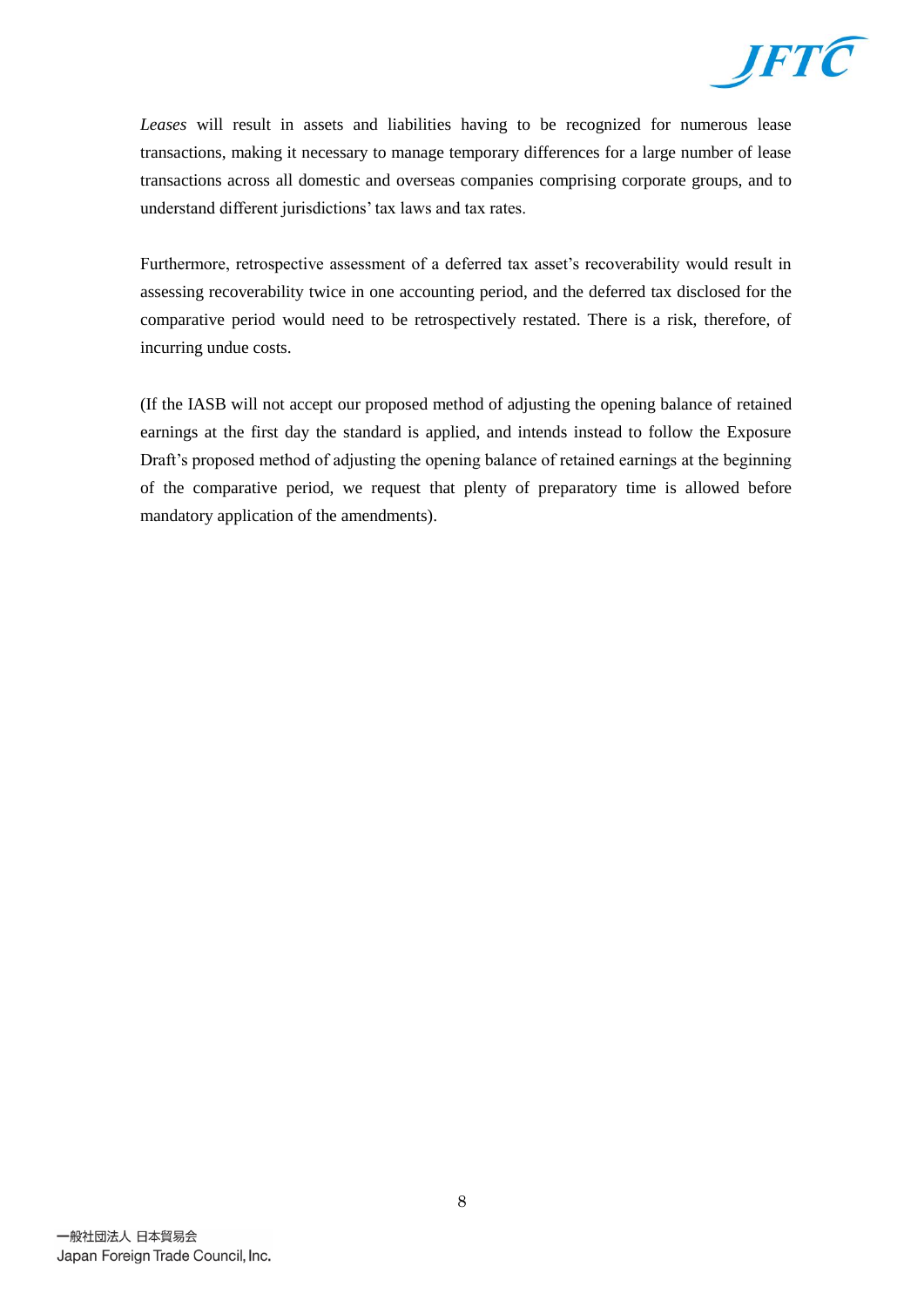

*Leases* will result in assets and liabilities having to be recognized for numerous lease transactions, making it necessary to manage temporary differences for a large number of lease transactions across all domestic and overseas companies comprising corporate groups, and to understand different jurisdictions' tax laws and tax rates.

Furthermore, retrospective assessment of a deferred tax asset's recoverability would result in assessing recoverability twice in one accounting period, and the deferred tax disclosed for the comparative period would need to be retrospectively restated. There is a risk, therefore, of incurring undue costs.

(If the IASB will not accept our proposed method of adjusting the opening balance of retained earnings at the first day the standard is applied, and intends instead to follow the Exposure Draft's proposed method of adjusting the opening balance of retained earnings at the beginning of the comparative period, we request that plenty of preparatory time is allowed before mandatory application of the amendments).